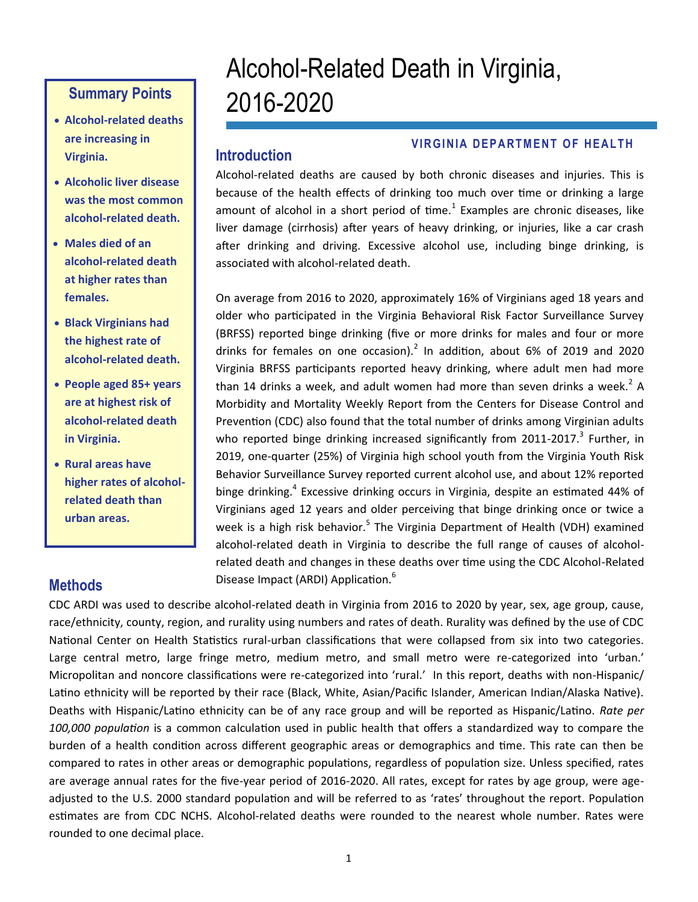- **Alcohol-related deaths are increasing in Virginia.**
- **Alcoholic liver disease was the most common alcohol-related death.**
- **Males died of an alcohol-related death at higher rates than females.**
- **Black Virginians had the highest rate of alcohol-related death.**
- **People aged 85+ years are at highest risk of alcohol-related death in Virginia.**
- **Rural areas have higher rates of alcoholrelated death than urban areas.**

# Alcohol-Related Death in Virginia, 2016-2020 **Summary Points**

## **Introduction**

#### **VIRGINIA DEPARTMENT OF HEALTH**

Alcohol-related deaths are caused by both chronic diseases and injuries. This is because of the health effects of drinking too much over time or drinking a large amount of alcohol in a short period of time. $^1$  Examples are chronic diseases, like liver damage (cirrhosis) after years of heavy drinking, or injuries, like a car crash after drinking and driving. Excessive alcohol use, including binge drinking, is associated with alcohol-related death.

On average from 2016 to 2020, approximately 16% of Virginians aged 18 years and older who participated in the Virginia Behavioral Risk Factor Surveillance Survey (BRFSS) reported binge drinking (five or more drinks for males and four or more drinks for females on one occasion). $^2$  In addition, about 6% of 2019 and 2020 Virginia BRFSS participants reported heavy drinking, where adult men had more than 14 drinks a week, and adult women had more than seven drinks a week.<sup>2</sup> A Morbidity and Mortality Weekly Report from the Centers for Disease Control and Prevention (CDC) also found that the total number of drinks among Virginian adults who reported binge drinking increased significantly from 2011-2017.<sup>3</sup> Further, in 2019, one-quarter (25%) of Virginia high school youth from the Virginia Youth Risk Behavior Surveillance Survey reported current alcohol use, and about 12% reported binge drinking.<sup>4</sup> Excessive drinking occurs in Virginia, despite an estimated 44% of Virginians aged 12 years and older perceiving that binge drinking once or twice a week is a high risk behavior.<sup>5</sup> The Virginia Department of Health (VDH) examined alcohol-related death in Virginia to describe the full range of causes of alcoholrelated death and changes in these deaths over time using the CDC Alcohol-Related Disease Impact (ARDI) Application.<sup>6</sup>

## **Methods**

CDC ARDI was used to describe alcohol-related death in Virginia from 2016 to 2020 by year, sex, age group, cause, race/ethnicity, county, region, and rurality using numbers and rates of death. Rurality was defined by the use of CDC National Center on Health Statistics rural-urban classifications that were collapsed from six into two categories. Large central metro, large fringe metro, medium metro, and small metro were re-categorized into 'urban.' Micropolitan and noncore classifications were re-categorized into 'rural.' In this report, deaths with non-Hispanic/ Latino ethnicity will be reported by their race (Black, White, Asian/Pacific Islander, American Indian/Alaska Native). Deaths with Hispanic/Latino ethnicity can be of any race group and will be reported as Hispanic/Latino. *Rate per 100,000 population* is a common calculation used in public health that offers a standardized way to compare the burden of a health condition across different geographic areas or demographics and time. This rate can then be compared to rates in other areas or demographic populations, regardless of population size. Unless specified, rates are average annual rates for the five-year period of 2016-2020. All rates, except for rates by age group, were ageadjusted to the U.S. 2000 standard population and will be referred to as 'rates' throughout the report. Population estimates are from CDC NCHS. Alcohol-related deaths were rounded to the nearest whole number. Rates were rounded to one decimal place.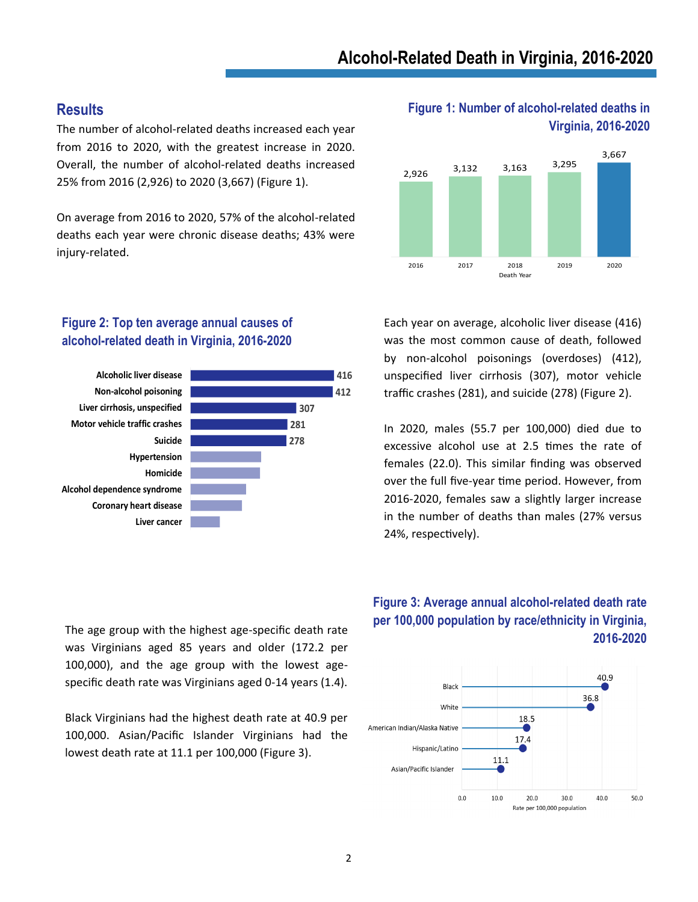#### **Results**

The number of alcohol-related deaths increased each year from 2016 to 2020, with the greatest increase in 2020. Overall, the number of alcohol-related deaths increased 25% from 2016 (2,926) to 2020 (3,667) (Figure 1).

On average from 2016 to 2020, 57% of the alcohol-related deaths each year were chronic disease deaths; 43% were injury-related.

#### **Figure 2: Top ten average annual causes of alcohol-related death in Virginia, 2016-2020**



The age group with the highest age-specific death rate was Virginians aged 85 years and older (172.2 per 100,000), and the age group with the lowest agespecific death rate was Virginians aged 0-14 years (1.4).

Black Virginians had the highest death rate at 40.9 per 100,000. Asian/Pacific Islander Virginians had the lowest death rate at 11.1 per 100,000 (Figure 3).

#### **Figure 1: Number of alcohol-related deaths in Virginia, 2016-2020**



Each year on average, alcoholic liver disease (416) was the most common cause of death, followed by non-alcohol poisonings (overdoses) (412), unspecified liver cirrhosis (307), motor vehicle traffic crashes (281), and suicide (278) (Figure 2).

In 2020, males (55.7 per 100,000) died due to excessive alcohol use at 2.5 times the rate of females (22.0). This similar finding was observed over the full five-year time period. However, from 2016-2020, females saw a slightly larger increase in the number of deaths than males (27% versus 24%, respectively).

#### **Figure 3: Average annual alcohol-related death rate per 100,000 population by race/ethnicity in Virginia, 2016-2020**